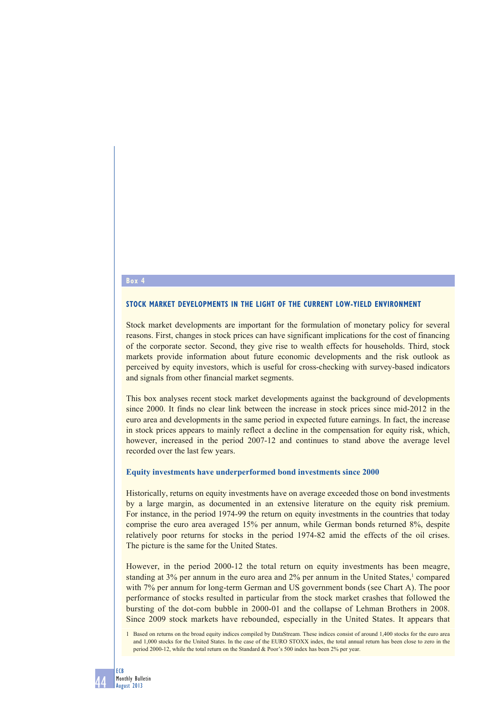# **Box 4**

#### **STOCK MARKET DEVELOPMENTS IN THE LIGHT OF THE CURRENT LOW-YIELD ENVIRONMENT**

Stock market developments are important for the formulation of monetary policy for several reasons. First, changes in stock prices can have significant implications for the cost of financing of the corporate sector. Second, they give rise to wealth effects for households. Third, stock markets provide information about future economic developments and the risk outlook as perceived by equity investors, which is useful for cross-checking with survey-based indicators and signals from other financial market segments.

This box analyses recent stock market developments against the background of developments since 2000. It finds no clear link between the increase in stock prices since mid-2012 in the euro area and developments in the same period in expected future earnings. In fact, the increase in stock prices appears to mainly reflect a decline in the compensation for equity risk, which, however, increased in the period 2007-12 and continues to stand above the average level recorded over the last few years.

#### **Equity investments have underperformed bond investments since 2000**

Historically, returns on equity investments have on average exceeded those on bond investments by a large margin, as documented in an extensive literature on the equity risk premium. For instance, in the period 1974-99 the return on equity investments in the countries that today comprise the euro area averaged 15% per annum, while German bonds returned 8%, despite relatively poor returns for stocks in the period 1974-82 amid the effects of the oil crises. The picture is the same for the United States.

However, in the period 2000-12 the total return on equity investments has been meagre, standing at 3% per annum in the euro area and 2% per annum in the United States,<sup>1</sup> compared with 7% per annum for long-term German and US government bonds (see Chart A). The poor performance of stocks resulted in particular from the stock market crashes that followed the bursting of the dot-com bubble in 2000-01 and the collapse of Lehman Brothers in 2008. Since 2009 stock markets have rebounded, especially in the United States. It appears that

<sup>1</sup> Based on returns on the broad equity indices compiled by DataStream. These indices consist of around 1,400 stocks for the euro area and 1,000 stocks for the United States. In the case of the EURO STOXX index, the total annual return has been close to zero in the period 2000-12, while the total return on the Standard & Poor's 500 index has been 2% per year.

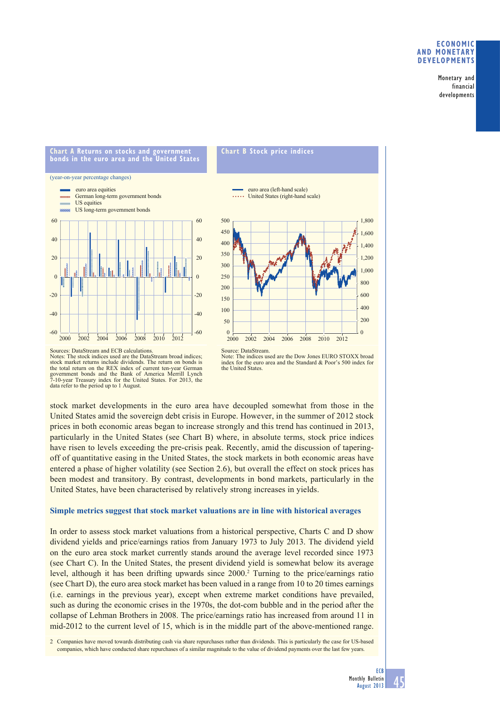## **ECONOMIC AND MONETARY DEVELOPMENTS**

Monetary and financial developments

**Chart A Returns on stocks and government bonds in the euro area and the United States**

(year-on-year percentage changes)







Sources: DataStream and ECB calculations. Notes: The stock indices used are the DataStream broad indices; stock market returns include dividends. The return on bonds is the total return on the REX index of current ten-year German government bonds and the Bank of America Merrill Lynch 7-10-year Treasury index for the United States. For 2013, the data refer to the period up to 1 August.

Note: The indices used are the Dow Jones EURO STOXX broad index for the euro area and the Standard & Poor's 500 index for the United States.

stock market developments in the euro area have decoupled somewhat from those in the United States amid the sovereign debt crisis in Europe. However, in the summer of 2012 stock prices in both economic areas began to increase strongly and this trend has continued in 2013, particularly in the United States (see Chart B) where, in absolute terms, stock price indices have risen to levels exceeding the pre-crisis peak. Recently, amid the discussion of taperingoff of quantitative easing in the United States, the stock markets in both economic areas have entered a phase of higher volatility (see Section 2.6), but overall the effect on stock prices has been modest and transitory. By contrast, developments in bond markets, particularly in the United States, have been characterised by relatively strong increases in yields.

## **Simple metrics suggest that stock market valuations are in line with historical averages**

In order to assess stock market valuations from a historical perspective, Charts C and D show dividend yields and price/earnings ratios from January 1973 to July 2013. The dividend yield on the euro area stock market currently stands around the average level recorded since 1973 (see Chart C). In the United States, the present dividend yield is somewhat below its average level, although it has been drifting upwards since 2000.<sup>2</sup> Turning to the price/earnings ratio (see Chart D), the euro area stock market has been valued in a range from 10 to 20 times earnings (i.e. earnings in the previous year), except when extreme market conditions have prevailed, such as during the economic crises in the 1970s, the dot-com bubble and in the period after the collapse of Lehman Brothers in 2008. The price/earnings ratio has increased from around 11 in mid-2012 to the current level of 15, which is in the middle part of the above-mentioned range.

2 Companies have moved towards distributing cash via share repurchases rather than dividends. This is particularly the case for US-based companies, which have conducted share repurchases of a similar magnitude to the value of dividend payments over the last few years.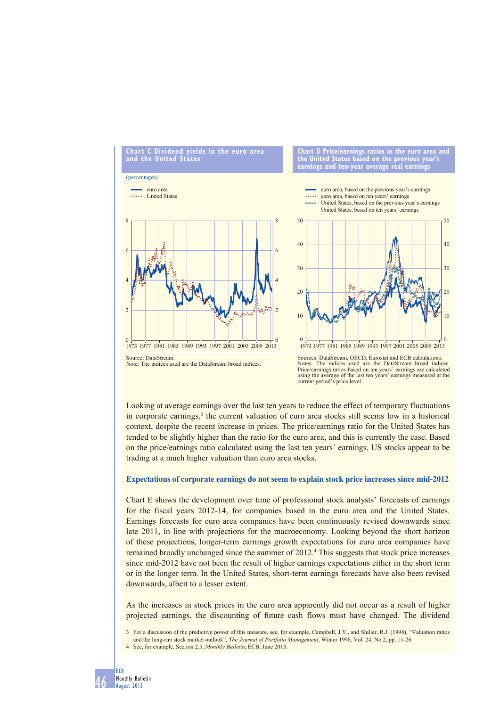

Notes: The indices used are the DataStream broad indices. Price/earnings ratios based on ten years' earnings are calculated using the average of the last ten years' earnings measured at the current period's price level.

Looking at average earnings over the last ten years to reduce the effect of temporary fluctuations in corporate earnings,<sup>3</sup> the current valuation of euro area stocks still seems low in a historical context, despite the recent increase in prices. The price/earnings ratio for the United States has tended to be slightly higher than the ratio for the euro area, and this is currently the case. Based on the price/earnings ratio calculated using the last ten years' earnings, US stocks appear to be trading at a much higher valuation than euro area stocks.

## **Expectations of corporate earnings do not seem to explain stock price increases since mid-2012**

Chart E shows the development over time of professional stock analysts' forecasts of earnings for the fiscal years 2012-14, for companies based in the euro area and the United States. Earnings forecasts for euro area companies have been continuously revised downwards since late 2011, in line with projections for the macroeconomy. Looking beyond the short horizon of these projections, longer-term earnings growth expectations for euro area companies have remained broadly unchanged since the summer of 2012.<sup>4</sup> This suggests that stock price increases since mid-2012 have not been the result of higher earnings expectations either in the short term or in the longer term. In the United States, short-term earnings forecasts have also been revised downwards, albeit to a lesser extent.

As the increases in stock prices in the euro area apparently did not occur as a result of higher projected earnings, the discounting of future cash flows must have changed. The dividend

3 For a discussion of the predictive power of this measure, see, for example, Campbell, J.Y., and Shiller, R.J. (1998), "Valuation ratios and the long-run stock market outlook", *The Journal of Portfolio Management*, Winter 1998, Vol. 24, No 2, pp. 11-26. 4 See, for example, Section 2.5, *Monthly Bulletin*, ECB, June 2013.

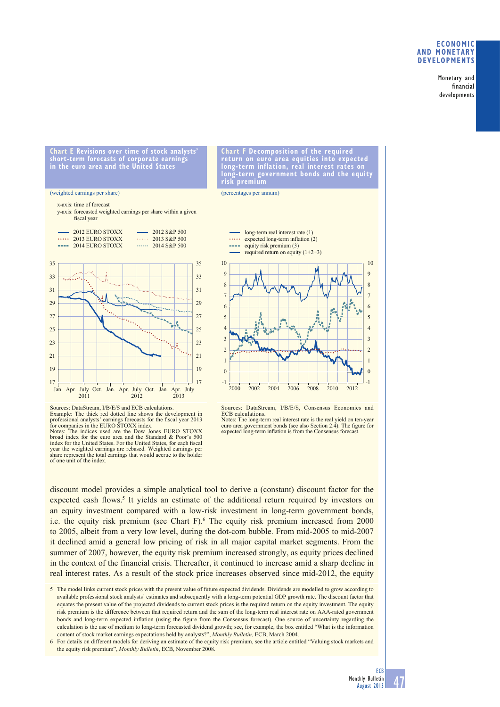## **ECONOMIC AND MONETARY DEVELOPMENTS**

Monetary and financial developments

**Chart E Revisions over time of stock analysts' short-term forecasts of corporate earnings in the euro area and the United States**

#### (weighted earnings per share)

#### x-axis: time of forecast

y-axis: forecasted weighted earnings per share within a given fiscal year



Sources: DataStream, I/B/E/S and ECB calculations. Example: The thick red dotted line shows the development in professional analysts' earnings forecasts for the fiscal year 2013<br>for companies in the EURO STOXX index.<br>Notes: The indices used are the Dow Jones EURO STOXX broad index for the euro area and the Standard & Poor's 500 index for the United States. For the United States, for each fiscal year the weighted earnings are rebased. Weighted earnings per share represent the total earnings that would accrue to the holder of one unit of the index.

**Chart F Decomposition of the required return on euro area equities into expected long-term inflation, real interest rates on long-term government bonds and the equity risk premium**

(percentages per annum)



Sources: DataStream, I/B/E/S, Consensus Economics and ECB calculations. Notes: The long-term real interest rate is the real yield on ten-year

euro area government bonds (see also Section 2.4). The figure for expected long-term inflation is from the Consensus forecast.

discount model provides a simple analytical tool to derive a (constant) discount factor for the expected cash flows.<sup>5</sup> It yields an estimate of the additional return required by investors on an equity investment compared with a low-risk investment in long-term government bonds, i.e. the equity risk premium (see Chart F).<sup>6</sup> The equity risk premium increased from 2000 to 2005, albeit from a very low level, during the dot-com bubble. From mid-2005 to mid-2007 it declined amid a general low pricing of risk in all major capital market segments. From the summer of 2007, however, the equity risk premium increased strongly, as equity prices declined in the context of the financial crisis. Thereafter, it continued to increase amid a sharp decline in real interest rates. As a result of the stock price increases observed since mid-2012, the equity

5 The model links current stock prices with the present value of future expected dividends. Dividends are modelled to grow according to available professional stock analysts' estimates and subsequently with a long-term potential GDP growth rate. The discount factor that equates the present value of the projected dividends to current stock prices is the required return on the equity investment. The equity risk premium is the difference between that required return and the sum of the long-term real interest rate on AAA-rated government bonds and long-term expected inflation (using the figure from the Consensus forecast). One source of uncertainty regarding the calculation is the use of medium to long-term forecasted dividend growth; see, for example, the box entitled "What is the information content of stock market earnings expectations held by analysts?", *Monthly Bulletin*, ECB, March 2004.

<sup>6</sup> For details on different models for deriving an estimate of the equity risk premium, see the article entitled "Valuing stock markets and the equity risk premium", *Monthly Bulletin*, ECB, November 2008.